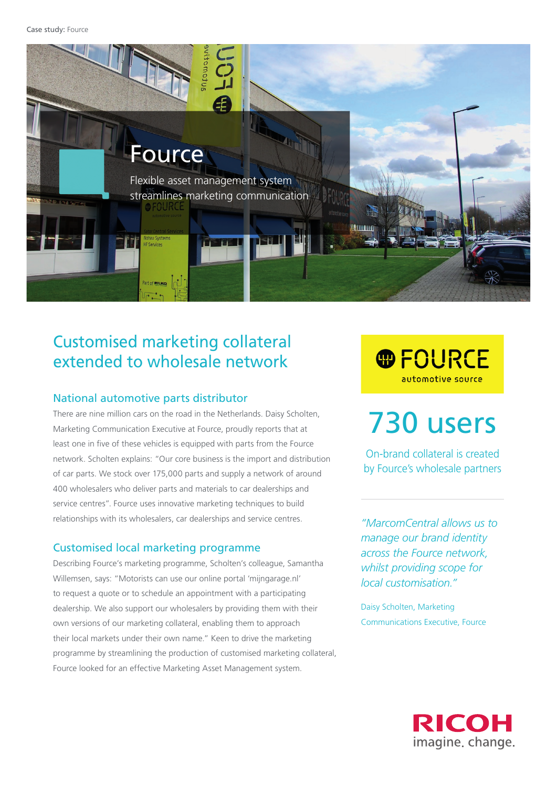Case study: Fource



## Customised marketing collateral extended to wholesale network

## National automotive parts distributor

There are nine million cars on the road in the Netherlands. Daisy Scholten, Marketing Communication Executive at Fource, proudly reports that at least one in five of these vehicles is equipped with parts from the Fource network. Scholten explains: "Our core business is the import and distribution of car parts. We stock over 175,000 parts and supply a network of around 400 wholesalers who deliver parts and materials to car dealerships and service centres". Fource uses innovative marketing techniques to build relationships with its wholesalers, car dealerships and service centres.

### Customised local marketing programme

Describing Fource's marketing programme, Scholten's colleague, Samantha Willemsen, says: "Motorists can use our online portal 'mijngarage.nl' to request a quote or to schedule an appointment with a participating dealership. We also support our wholesalers by providing them with their own versions of our marketing collateral, enabling them to approach their local markets under their own name." Keen to drive the marketing programme by streamlining the production of customised marketing collateral, Fource looked for an effective Marketing Asset Management system.

**@FOURCE** automotive source

# 730 users

On-brand collateral is created by Fource's wholesale partners

*"MarcomCentral allows us to manage our brand identity across the Fource network, whilst providing scope for local customisation."*

Daisy Scholten, Marketing Communications Executive, Fource